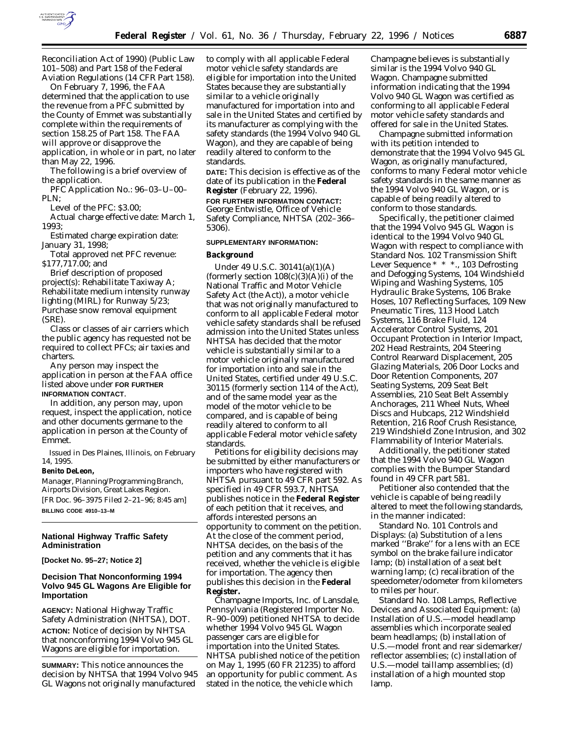

Reconciliation Act of 1990) (Public Law 101–508) and Part 158 of the Federal Aviation Regulations (14 CFR Part 158).

On February 7, 1996, the FAA determined that the application to use the revenue from a PFC submitted by the County of Emmet was substantially complete within the requirements of section 158.25 of Part 158. The FAA will approve or disapprove the application, in whole or in part, no later than May 22, 1996.

The following is a brief overview of the application.

PFC Application No.: 96–03–U–00– PLN;

Level of the PFC: \$3.00;

Actual charge effective date: March 1, 1993;

Estimated charge expiration date: January 31, 1998;

Total approved net PFC revenue: \$177,717.00; and

Brief description of proposed project(s): Rehabilitate Taxiway A; Rehabilitate medium intensity runway lighting (MIRL) for Runway 5/23; Purchase snow removal equipment (SRE).

Class or classes of air carriers which the public agency has requested not be required to collect PFCs; air taxies and charters.

Any person may inspect the application in person at the FAA office listed above under **FOR FURTHER INFORMATION CONTACT**.

In addition, any person may, upon request, inspect the application, notice and other documents germane to the application in person at the County of Emmet.

Issued in Des Plaines, Illinois, on February 14, 1995.

## **Benito DeLeon,**

*Manager, Planning/Programming Branch, Airports Division, Great Lakes Region.* [FR Doc. 96–3975 Filed 2–21–96; 8:45 am] **BILLING CODE 4910–13–M**

**National Highway Traffic Safety**

# **Administration**

**[Docket No. 95–27; Notice 2]**

# **Decision That Nonconforming 1994 Volvo 945 GL Wagons Are Eligible for Importation**

**AGENCY:** National Highway Traffic Safety Administration (NHTSA), DOT. **ACTION:** Notice of decision by NHTSA that nonconforming 1994 Volvo 945 GL Wagons are eligible for importation.

**SUMMARY:** This notice announces the decision by NHTSA that 1994 Volvo 945 GL Wagons not originally manufactured

to comply with all applicable Federal motor vehicle safety standards are eligible for importation into the United States because they are substantially similar to a vehicle originally manufactured for importation into and sale in the United States and certified by its manufacturer as complying with the safety standards (the 1994 Volvo 940 GL Wagon), and they are capable of being readily altered to conform to the standards.

**DATE:** This decision is effective as of the date of its publication in the **Federal Register** (February 22, 1996).

**FOR FURTHER INFORMATION CONTACT:** George Entwistle, Office of Vehicle Safety Compliance, NHTSA (202–366– 5306).

#### **SUPPLEMENTARY INFORMATION:**

#### **Background**

Under 49 U.S.C. 30141(a)(1)(A) (formerly section  $108(c)(3)(A)(i)$  of the National Traffic and Motor Vehicle Safety Act (the Act)), a motor vehicle that was not originally manufactured to conform to all applicable Federal motor vehicle safety standards shall be refused admission into the United States unless NHTSA has decided that the motor vehicle is substantially similar to a motor vehicle originally manufactured for importation into and sale in the United States, certified under 49 U.S.C. 30115 (formerly section 114 of the Act), and of the same model year as the model of the motor vehicle to be compared, and is capable of being readily altered to conform to all applicable Federal motor vehicle safety standards.

Petitions for eligibility decisions may be submitted by either manufacturers or importers who have registered with NHTSA pursuant to 49 CFR part 592. As specified in 49 CFR 593.7, NHTSA publishes notice in the **Federal Register** of each petition that it receives, and affords interested persons an opportunity to comment on the petition. At the close of the comment period, NHTSA decides, on the basis of the petition and any comments that it has received, whether the vehicle is eligible for importation. The agency then publishes this decision in the **Federal Register.**

Champagne Imports, Inc. of Lansdale, Pennsylvania (Registered Importer No. R–90–009) petitioned NHTSA to decide whether 1994 Volvo 945 GL Wagon passenger cars are eligible for importation into the United States. NHTSA published notice of the petition on May 1, 1995 (60 FR 21235) to afford an opportunity for public comment. As stated in the notice, the vehicle which

Champagne believes is substantially similar is the 1994 Volvo 940 GL Wagon. Champagne submitted information indicating that the 1994 Volvo 940 GL Wagon was certified as conforming to all applicable Federal motor vehicle safety standards and offered for sale in the United States.

Champagne submitted information with its petition intended to demonstrate that the 1994 Volvo 945 GL Wagon, as originally manufactured, conforms to many Federal motor vehicle safety standards in the same manner as the 1994 Volvo 940 GL Wagon, or is capable of being readily altered to conform to those standards.

Specifically, the petitioner claimed that the 1994 Volvo 945 GL Wagon is identical to the 1994 Volvo 940 GL Wagon with respect to compliance with Standard Nos. 102 *Transmission Shift Lever Sequence \* \* \*.*, 103 *Defrosting and Defogging Systems*, 104 *Windshield Wiping and Washing Systems*, 105 *Hydraulic Brake Systems*, 106 *Brake Hoses*, 107 *Reflecting Surfaces*, 109 *New Pneumatic Tires*, 113 *Hood Latch Systems*, 116 *Brake Fluid*, 124 *Accelerator Control Systems*, 201 *Occupant Protection in Interior Impact*, 202 *Head Restraints*, 204 *Steering Control Rearward Displacement*, 205 *Glazing Materials*, 206 *Door Locks and Door Retention Components*, 207 *Seating Systems*, 209 *Seat Belt Assemblies*, 210 *Seat Belt Assembly Anchorages*, 211 *Wheel Nuts, Wheel Discs and Hubcaps*, 212 *Windshield Retention*, 216 *Roof Crush Resistance*, 219 *Windshield Zone Intrusion*, and 302 *Flammability of Interior Materials.*

Additionally, the petitioner stated that the 1994 Volvo 940 GL Wagon complies with the Bumper Standard found in 49 CFR part 581.

Petitioner also contended that the vehicle is capable of being readily altered to meet the following standards, in the manner indicated:

Standard No. 101 *Controls and Displays*: (a) Substitution of a lens marked ''Brake'' for a lens with an ECE symbol on the brake failure indicator lamp; (b) installation of a seat belt warning lamp; (c) recalibration of the speedometer/odometer from kilometers to miles per hour.

Standard No. 108 *Lamps, Reflective Devices and Associated Equipment*: (a) Installation of U.S.—model headlamp assemblies which incorporate sealed beam headlamps; (b) installation of U.S.—model front and rear sidemarker/ reflector assemblies; (c) installation of U.S.—model taillamp assemblies; (d) installation of a high mounted stop lamp.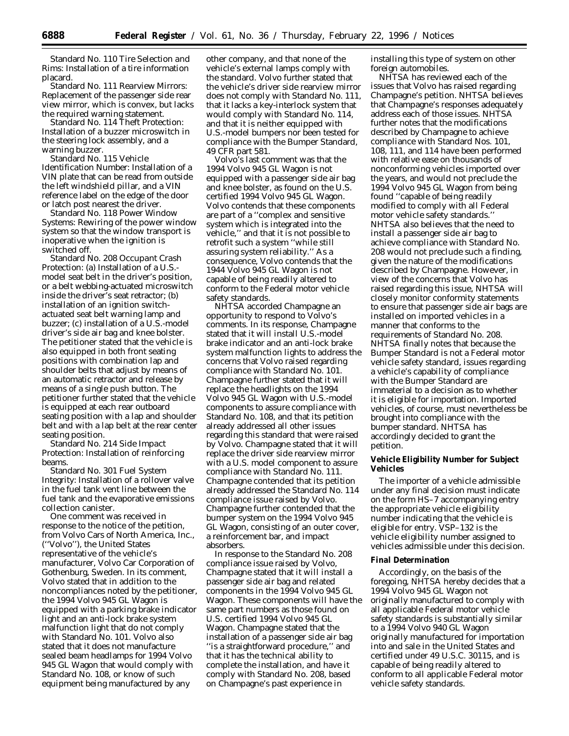Standard No. 110 *Tire Selection and Rims*: Installation of a tire information placard.

Standard No. 111 *Rearview Mirrors*: Replacement of the passenger side rear view mirror, which is convex, but lacks the required warning statement.

Standard No. 114 *Theft Protection*: Installation of a buzzer microswitch in the steering lock assembly, and a warning buzzer.

Standard No. 115 *Vehicle Identification Number*: Installation of a VIN plate that can be read from outside the left windshield pillar, and a VIN reference label on the edge of the door or latch post nearest the driver.

Standard No. 118 *Power Window Systems*: Rewiring of the power window system so that the window transport is inoperative when the ignition is switched off.

Standard No. 208 *Occupant Crash Protection*: (a) Installation of a U.S. model seat belt in the driver's position, or a belt webbing-actuated microswitch inside the driver's seat retractor; (b) installation of an ignition switchactuated seat belt warning lamp and buzzer; (c) installation of a U.S.-model driver's side air bag and knee bolster. The petitioner stated that the vehicle is also equipped in both front seating positions with combination lap and shoulder belts that adjust by means of an automatic retractor and release by means of a single push button. The petitioner further stated that the vehicle is equipped at each rear outboard seating position with a lap and shoulder belt and with a lap belt at the rear center seating position.

Standard No. 214 *Side Impact Protection*: Installation of reinforcing beams.

Standard No. 301 *Fuel System Integrity*: Installation of a rollover valve in the fuel tank vent line between the fuel tank and the evaporative emissions collection canister.

One comment was received in response to the notice of the petition, from Volvo Cars of North America, Inc., (''Volvo''), the United States representative of the vehicle's manufacturer, Volvo Car Corporation of Gothenburg, Sweden. In its comment, Volvo stated that in addition to the noncompliances noted by the petitioner, the 1994 Volvo 945 GL Wagon is equipped with a parking brake indicator light and an anti-lock brake system malfunction light that do not comply with Standard No. 101. Volvo also stated that it does not manufacture sealed beam headlamps for 1994 Volvo 945 GL Wagon that would comply with Standard No. 108, or know of such equipment being manufactured by any

other company, and that none of the vehicle's external lamps comply with the standard. Volvo further stated that the vehicle's driver side rearview mirror does not comply with Standard No. 111, that it lacks a key-interlock system that would comply with Standard No. 114, and that it is neither equipped with U.S.-model bumpers nor been tested for compliance with the Bumper Standard, 49 CFR part 581.

Volvo's last comment was that the 1994 Volvo 945 GL Wagon is not equipped with a passenger side air bag and knee bolster, as found on the U.S. certified 1994 Volvo 945 GL Wagon. Volvo contends that these components are part of a ''complex and sensitive system which is integrated into the vehicle,'' and that it is not possible to retrofit such a system ''while still assuring system reliability.'' As a consequence, Volvo contends that the 1944 Volvo 945 GL Wagon is not capable of being readily altered to conform to the Federal motor vehicle safety standards.

NHTSA accorded Champagne an opportunity to respond to Volvo's comments. In its response, Champagne stated that it will install U.S.-model brake indicator and an anti-lock brake system malfunction lights to address the concerns that Volvo raised regarding compliance with Standard No. 101. Champagne further stated that it will replace the headlights on the 1994 Volvo 945 GL Wagon with U.S.-model components to assure compliance with Standard No. 108, and that its petition already addressed all other issues regarding this standard that were raised by Volvo. Champagne stated that it will replace the driver side rearview mirror with a U.S. model component to assure compliance with Standard No. 111. Champagne contended that its petition already addressed the Standard No. 114 compliance issue raised by Volvo. Champagne further contended that the bumper system on the 1994 Volvo 945 GL Wagon, consisting of an outer cover, a reinforcement bar, and impact absorbers.

In response to the Standard No. 208 compliance issue raised by Volvo, Champagne stated that it will install a passenger side air bag and related components in the 1994 Volvo 945 GL Wagon. These components will have the same part numbers as those found on U.S. certified 1994 Volvo 945 GL Wagon. Champagne stated that the installation of a passenger side air bag ''is a straightforward procedure,'' and that it has the technical ability to complete the installation, and have it comply with Standard No. 208, based on Champagne's past experience in

installing this type of system on other foreign automobiles.

NHTSA has reviewed each of the issues that Volvo has raised regarding Champagne's petition. NHTSA believes that Champagne's responses adequately address each of those issues. NHTSA further notes that the modifications described by Champagne to achieve compliance with Standard Nos. 101, 108, 111, and 114 have been performed with relative ease on thousands of nonconforming vehicles imported over the years, and would not preclude the 1994 Volvo 945 GL Wagon from being found ''capable of being readily modified to comply with all Federal motor vehicle safety standards.'' NHTSA also believes that the need to install a passenger side air bag to achieve compliance with Standard No. 208 would not preclude such a finding, given the nature of the modifications described by Champagne. However, in view of the concerns that Volvo has raised regarding this issue, NHTSA will closely monitor conformity statements to ensure that passenger side air bags are installed on imported vehicles in a manner that conforms to the requirements of Standard No. 208. NHTSA finally notes that because the Bumper Standard is not a Federal motor vehicle safety standard, issues regarding a vehicle's capability of compliance with the Bumper Standard are immaterial to a decision as to whether it is eligible for importation. Imported vehicles, of course, must nevertheless be brought into compliance with the bumper standard. NHTSA has accordingly decided to grant the petition.

**Vehicle Eligibility Number for Subject Vehicles**

The importer of a vehicle admissible under any final decision must indicate on the form HS–7 accompanying entry the appropriate vehicle eligibility number indicating that the vehicle is eligible for entry. VSP–132 is the vehicle eligibility number assigned to vehicles admissible under this decision.

## **Final Determination**

Accordingly, on the basis of the foregoing, NHTSA hereby decides that a 1994 Volvo 945 GL Wagon not originally manufactured to comply with all applicable Federal motor vehicle safety standards is substantially similar to a 1994 Volvo 940 GL Wagon originally manufactured for importation into and sale in the United States and certified under 49 U.S.C. 30115, and is capable of being readily altered to conform to all applicable Federal motor vehicle safety standards.